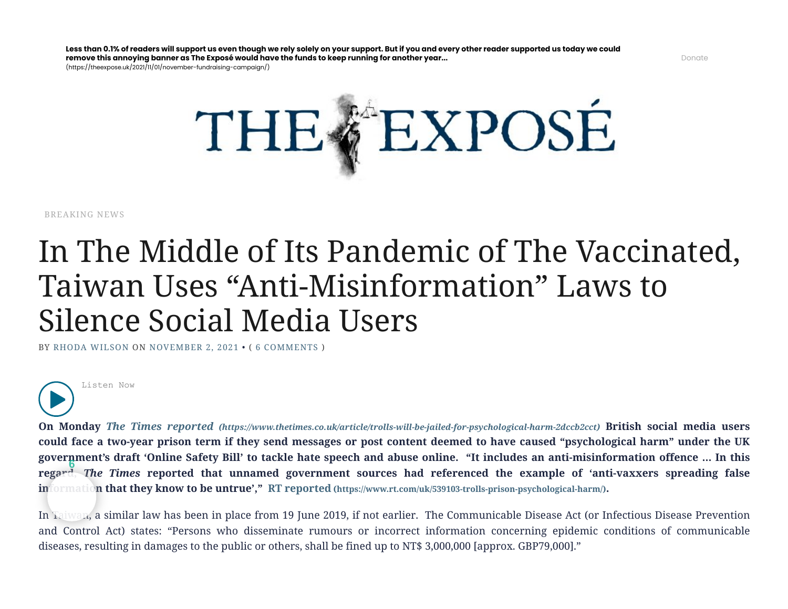$(\text{https://thesexose.uk/2021/11/01/november-fundraisina-campaian/})$ 



[BREAKING](https://theexpose.uk/category/breaking-news/) NEWS

## In The Middle of Its Pandemic of The Vaccinated, Taiwan Uses "Anti-Misinformation" Laws to Silence Social Media Users

BY RHODA [WILSON](https://theexpose.uk/author/cdefm1/) ON [NOVEMBER](https://theexpose.uk/2021/11/02/in-the-middle-of-its-pandemic-of-the-vaccinated-taiwan-uses-anti-misinformation-laws-to-silence-social-media-users/) 2, 2021 • ( 6 [COMMENTS](#page-6-0) )



**On Monday** *The Times reported [\(https://www.thetimes.co.uk/article/trolls-will-be-jailed-for-psychological-harm-2dccb2cct\)](https://www.thetimes.co.uk/article/trolls-will-be-jailed-for-psychological-harm-2dccb2cct)* **British social media users could face a two-year prison term if they send messages or post content deemed to have caused "psychological harm" under the UK government's draft 'Online Safety Bill' to tackle hate speech and abuse online. "It includes an anti-misinformation offence … In this regard,** *The Times* **reported that unnamed government sources had referenced the example of 'anti-vaxxers spreading false information that they know to be untrue'," RT reported [\(https://www.rt.com/uk/539103-trolls-prison-psychological-harm/\)](https://www.rt.com/uk/539103-trolls-prison-psychological-harm/). 6**

In Taiwan, a similar law has been in place from 19 June 2019, if not earlier. The Communicable Disease Act (or Infectious Disease Prevention and Control Act) states: "Persons who disseminate rumours or incorrect information concerning epidemic conditions of communicable diseases, resulting in damages to the public or others, shall be fined up to NT\$ 3,000,000 [approx. GBP79,000]."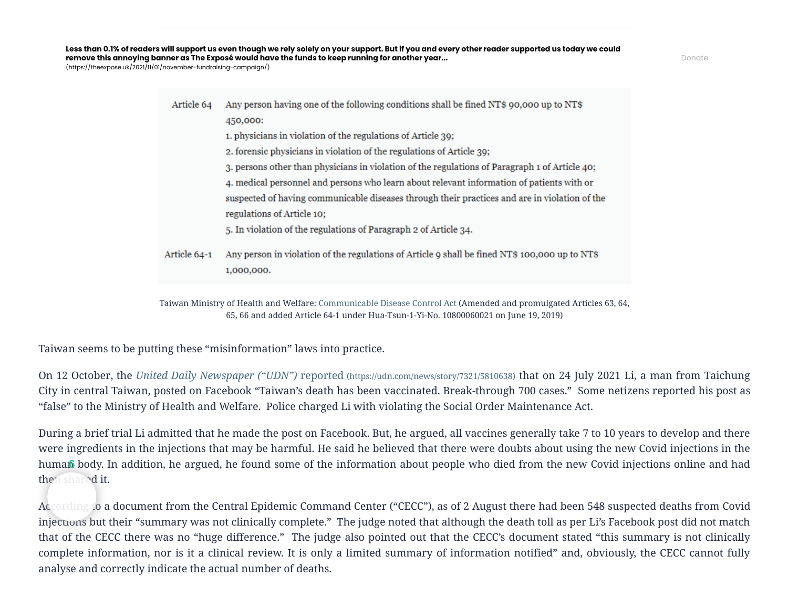[\(https://theexpose.uk/2021/11/01/november-fundraising-campaign/\)](https://theexpose.uk/2021/11/01/november-fundraising-campaign/)

Any person having one of the following conditions shall be fined NT\$ 90,000 up to NT\$ Article 64 450,000: 1. physicians in violation of the regulations of Article 39; 2. forensic physicians in violation of the regulations of Article 39; 3. persons other than physicians in violation of the regulations of Paragraph 1 of Article 40; 4. medical personnel and persons who learn about relevant information of patients with or suspected of having communicable diseases through their practices and are in violation of the regulations of Article 10; 5. In violation of the regulations of Paragraph 2 of Article 34. Article 64-1 Any person in violation of the regulations of Article 9 shall be fined NT\$ 100,000 up to NT\$ 1,000,000.

Taiwan Ministry of Health and Welfare: [Communicable](https://law.moj.gov.tw/ENG/LawClass/LawAll.aspx?pcode=L0050001) Disease Control Act (Amended and promulgated Articles 63, 64, 65, 66 and added Article 64-1 under Hua-Tsun-1-Yi-No. 10800060021 on June 19, 2019)

Taiwan seems to be putting these "misinformation" laws into practice.

On 12 October, the *[United Daily Newspaper \("UDN"\)](https://udn.com/news/story/7321/5810638)* reported (https://udn.com/news/story/7321/5810638) that on 24 July 2021 Li, a man from Taichung City in central Taiwan, posted on Facebook "Taiwan's death has been vaccinated. Break-through 700 cases." Some netizens reported his post as "false" to the Ministry of Health and Welfare. Police charged Li with violating the Social Order Maintenance Act.

During a brief trial Li admitted that he made the post on Facebook. But, he argued, all vaccines generally take 7 to 10 years to develop and there were ingredients in the injections that may be harmful. He said he believed that there were doubts about using the new Covid injections in the human body. In addition, he argued, he found some of the information about people who died from the new Covid injections online and had then shared it.

According to a document from the Central Epidemic Command Center ("CECC"), as of 2 August there had been 548 suspected deaths from Covid injections but their "summary was not clinically complete." The judge noted that although the death toll as per Li's Facebook post did not match that of the CECC there was no "huge difference." The judge also pointed out that the CECC's document stated "this summary is not clinically complete information, nor is it a clinical review. It is only a limited summary of information notified" and, obviously, the CECC cannot fully human body. In addition, he argued, he found some of the<br>then shared it.<br>According to a document from the Central Epidemic Comm<br>injections but their "summary was not clinically complete."<br>that of the CECC there was no "hug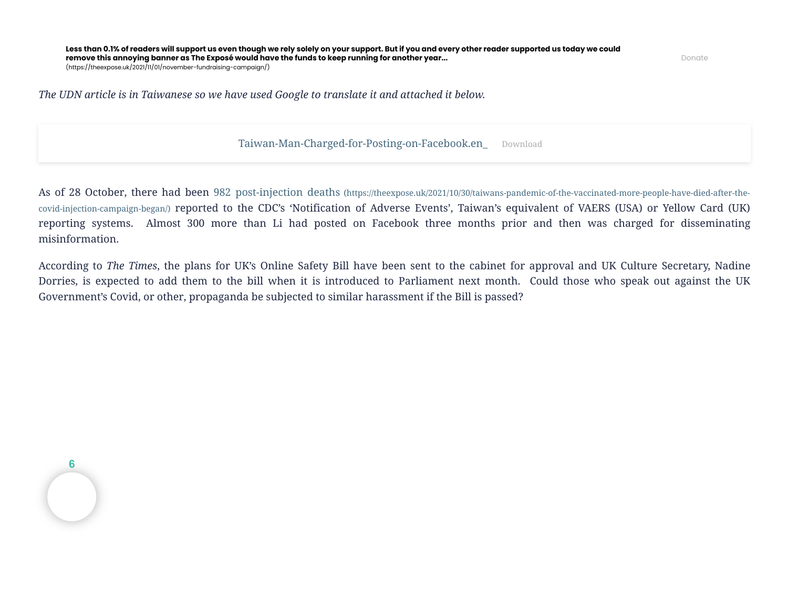Donate

*The UDN article is in Taiwanese so we have used Google to translate it and attached it below.*

[Taiwan-Man-Charged-for-Posting-on-Facebook.en\\_](https://theexpose.uk/wp-content/uploads/2021/11/Taiwan-Man-Charged-for-Posting-on-Facebook.en_.pdf) [Download](https://theexpose.uk/wp-content/uploads/2021/11/Taiwan-Man-Charged-for-Posting-on-Facebook.en_.pdf)

As of 28 October, there had been 982 post-injection deaths (https://theexpose.uk/2021/10/30/taiwans-pandemic-of-the-vaccinated-more-people-have-died-after-thecovid-injection-campaign-began/) reported [to the CDC's 'Notification of Adverse Events', Taiwan's equivalent of VAERS \(USA\) or Yellow Card \(UK\)](https://theexpose.uk/2021/10/30/taiwans-pandemic-of-the-vaccinated-more-people-have-died-after-the-covid-injection-campaign-began/) reporting systems. Almost 300 more than Li had posted on Facebook three months prior and then was charged for disseminating misinformation.

According to *The Times*, the plans for UK's Online Safety Bill have been sent to the cabinet for approval and UK Culture Secretary, Nadine Dorries, is expected to add them to the bill when it is introduced to Parliament next month. Could those who speak out against the UK Government's Covid, or other, propaganda be subjected to similar harassment if the Bill is passed?

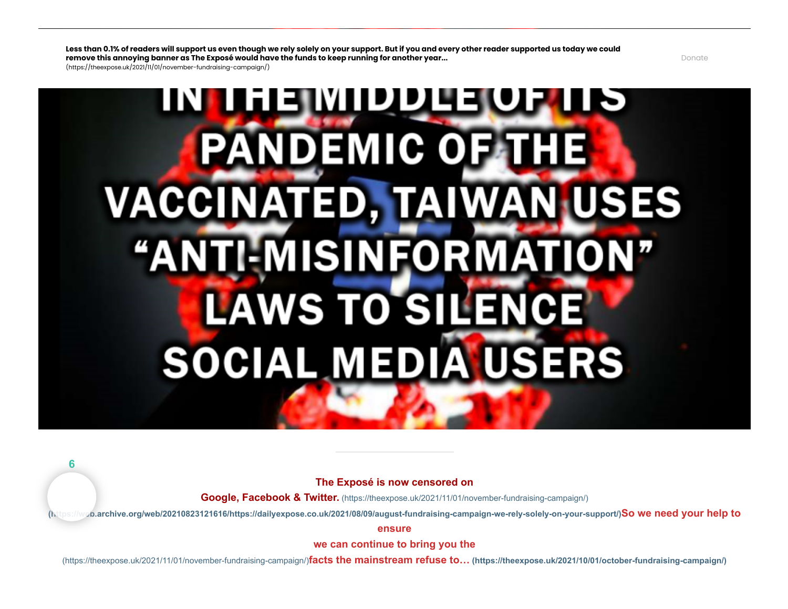$(\text{https://thesexose.uk/2021/11/01/november-fundraisina-campaian/})$ 

# INI HEIMIDDUEORI **PANDEMIC OF THE VACCINATED, TAIWAN USES** "ANTI-MISINFORMATION" LAWS TO SILENCE SOCIAL MEDIA USERS

**6**

**The Exposé is now censored on**

**Google, Facebook & Twitter.** [\(https://theexpose.uk/2021/11/01/november-fundraising-campaign/\)](https://theexpose.uk/2021/11/01/november-fundraising-campaign/)

**[\(https://web.archive.org/web/20210823121616/https://dailyexpose.co.uk/2021/08/09/august-fundraising-campaign-we-rely-solely-on-your-support/\)](https://web.archive.org/web/20210823121616/https://dailyexpose.co.uk/2021/08/09/august-fundraising-campaign-we-rely-solely-on-your-support/)So we need your help to**

**ensure**

**we can continue to bring you the**

(https://theexpose.uk/2021/11/01/november-fundraising-campaign/)**facts the mainstream refuse to… [\(https://theexpose.uk/2021/10/01/october-fundraising-campaign/\)](https://theexpose.uk/2021/10/01/october-fundraising-campaign/)**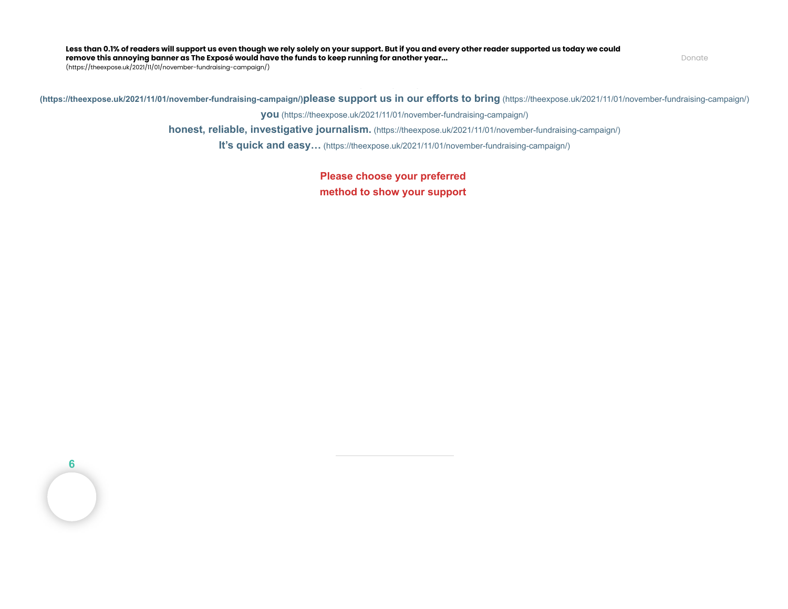Less than 0.1% of readers will support us even though we rely solely on your support. But if you and every other reader supported us today we could<br>remain this apparing happer as The Expect would have the fundate loop supp **remove this annoying banner as The Exposé would have the funds to keep running for another year...**

**behalf like the mainstream media.** [\(https://theexpose.uk/2021/11/01/november-fundraising-campaign/\)](https://theexpose.uk/2021/11/01/november-fundraising-campaign/) (https://theexpose.uk/2021/11/01/november-fundraising-campaign/)

**Instead we rely solely on your support, so [\(https://theexpose.uk/2021/11/01/november-fundraising-campaign/\)](https://theexpose.uk/2021/11/01/november-fundraising-campaign/)please support us in our efforts to bring** [\(https://theexpose.uk/2021/11/01/november-fundraising-campaign/\)](https://theexpose.uk/2021/11/01/november-fundraising-campaign/)

> **you** [\(https://theexpose.uk/2021/11/01/november-fundraising-campaign/\)](https://theexpose.uk/2021/11/01/november-fundraising-campaign/) **[honest, reliable, investigative journalism.](https://theexpose.uk/2021/11/01/november-fundraising-campaign/)** (https://theexpose.uk/2021/11/01/november-fundraising-campaign/)

**It's quick and easy…** [\(https://theexpose.uk/2021/11/01/november-fundraising-campaign/\)](https://theexpose.uk/2021/11/01/november-fundraising-campaign/)

**Please choose your preferred method to show your support** 

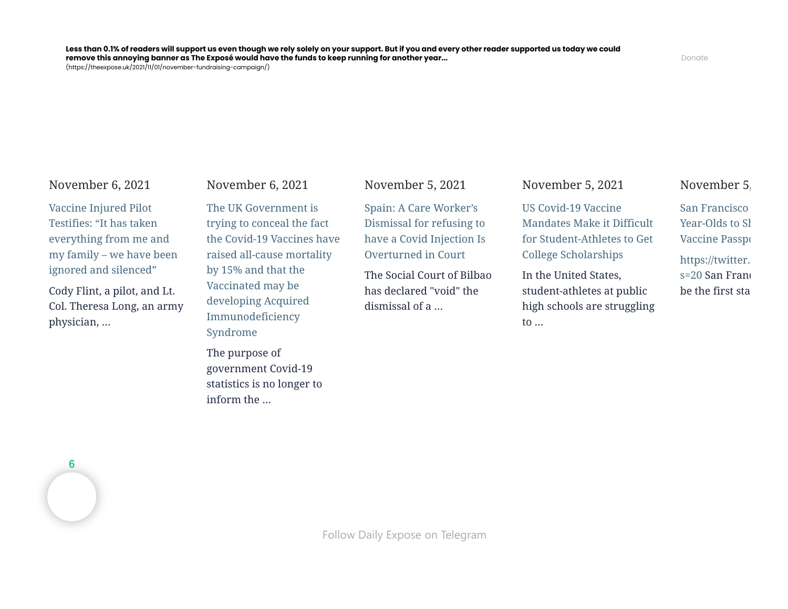[\(https://theexpose.uk/2021/11/01/novem](https://theexpose.uk/2021/11/06/vaccine-injured-pilot-testifies-it-has-taken-everything-from-me-and-my-family-we-have-been-ignored-and-silenced/)[ber-fund](https://theexpose.uk/2021/11/01/november-fundraising-campaign/)[raising-campaign/\)](https://theexpose.uk/2021/11/06/uk-gov-lying-and-hiding-the-fact-covid-19-vaccinated-are-developing-ade/)

#### November 6, 2021

Vaccine Injured Pilot Testifies: "It has taken everything from me and [my family – we have been](https://theexpose.uk/2021/11/06/vaccine-injured-pilot-testifies-it-has-taken-everything-from-me-and-my-family-we-have-been-ignored-and-silenced/) ignored and silenced"

Cody Flint, a pilot, and Lt. Col. Theresa Long, an army physician, …

#### November 6, 2021

The UK Government is trying to conceal the fact [the Covid-19 Vaccines have](https://theexpose.uk/2021/11/06/uk-gov-lying-and-hiding-the-fact-covid-19-vaccinated-are-developing-ade/) raised all-cause mortality by 15% and that the Vaccinated may be developing Acquired Immunodeficiency Syndrome

The purpose of government Covid-19 statistics is no longer to inform the …

November 5, 2021

Spain: A Care Worker's Dismissal for refusing to [have a Covid Injection Is](https://theexpose.uk/2021/11/05/spain-a-care-workers-dismissal-for-refusing-to-have-a-covid-injection-is-overturned-in-court/) Overturned in Court

The Social Court of Bilbao has declared "void" the dismissal of a …

November 5, 2021

US Covid-19 Vaccine [Mandates Make it Difficult](https://theexpose.uk/2021/11/05/us-covid-19-vaccine-mandates-make-it-difficult-for-student-athletes-to-get-college-scholarships/) for Student-Athletes to Get College Scholarships

In the United States, student-athletes at public high schools are struggling to …

#### November 5,

[San Francisco](https://theexpose.uk/2021/11/05/san-francisco-to-force-5-year-olds-to-show-covid-19-vaccine-passports/)  Year-Olds to Sh Vaccine Passpo [https://twitter.](https://twitter.com/bergerbell/status/1455775773013397505?s=20) s=20 San Franc be the first sta

**6**

[Follow Daily](https://t.me/dailyexpose) Expose on Telegram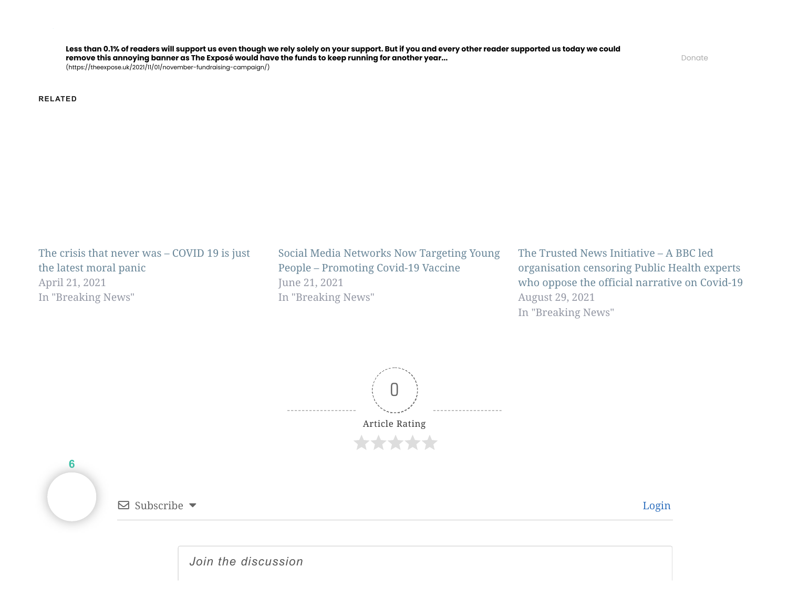[\(https://theexpose.uk/2021/11/01/november-fundraising-campaign/\)](https://theexpose.uk/2021/11/01/november-fundraising-campaign/)

**RELATED**

[The crisis that never was – COVID 19 is just](https://theexpose.uk/2021/04/21/the-crisis-that-never-was-covid-19-is-just-the-latest-moral-panic/) the latest moral panic April 21, 2021 In "Breaking News"

[Social Media Networks Now Targeting Young](https://theexpose.uk/2021/06/21/social-media-networks-now-targeting-young-people-promoting-covid-19-vaccine/) People – Promoting Covid-19 Vaccine June 21, 2021 In "Breaking News"

The Trusted News Initiative – A BBC led organisation censoring Public Health experts [who oppose the official narrative on Covid-19](https://theexpose.uk/2021/08/29/the-trusted-news-initiative-a-bbc-led-organisation-censoring-public-health-experts-who-oppose-the-official-narrative-on-covid-19/) August 29, 2021 In "Breaking News"



<span id="page-6-0"></span>

*Join the discussion*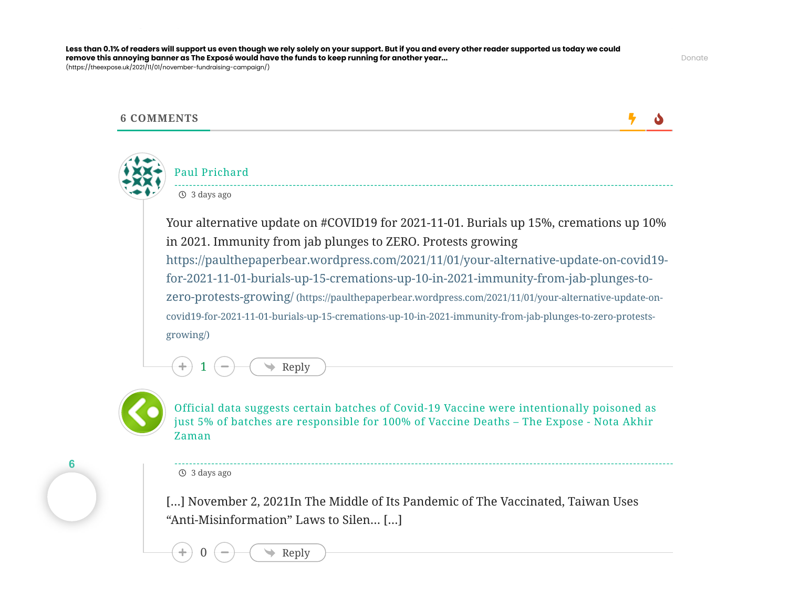cess than 0.1% of redders will support as even though we rely solery on your support. But if you und every other redder supported as today we could<br>remove this annoying banner as The Exposé would have the funds to keep run Less than 0.1% of readers will support us even though we rely solely on your support. But if you and every other reader supported us today we could [\(https://theexpose.uk/2021/11/01/november-fundraising-campaign/\)](https://theexpose.uk/2021/11/01/november-fundraising-campaign/)



#### **6 COMMENTS**

**5 A** 



### Paul Prichard 3 days ago

Your alternative update on #COVID19 for 2021-11-01. Burials up 15%, cremations up 10% in 2021. Immunity from jab plunges to ZERO. Protests growing [https://paulthepaperbear.wordpress.com/2021/11/01/your-alternative-update-on-covid19](https://paulthepaperbear.wordpress.com/2021/11/01/your-alternative-update-on-covid19-for-2021-11-01-burials-up-15-cremations-up-10-in-2021-immunity-from-jab-plunges-to-zero-protests-growing/) for-2021-11-01-burials-up-15-cremations-up-10-in-2021-immunity-from-jab-plunges-tozero-protests-growing/ (https://paulthepaperbear.wordpress.com/2021/11/01/your-alternative-update-oncovid19-for-2021-11-01-burials-up-15-cremations-up-10-in-2021-immunity-from-jab-plunges-to-zero-protestsgrowing/)



**6**

Official data suggests certain batches of Covid-19 Vaccine were [intentionally](https://notaakhirzaman.com/6543/) poisoned as just 5% of batches are responsible for 100% of Vaccine Deaths – The Expose - Nota Akhir Zaman

3 days ago

Reply

Reply

[…] November 2, 2021In The Middle of Its Pandemic of The Vaccinated, Taiwan Uses "Anti-Misinformation" Laws to Silen… […]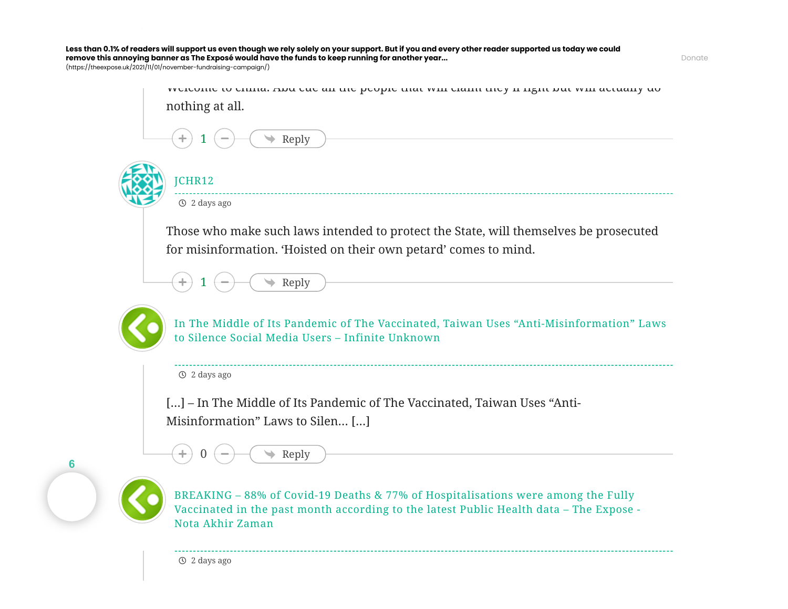